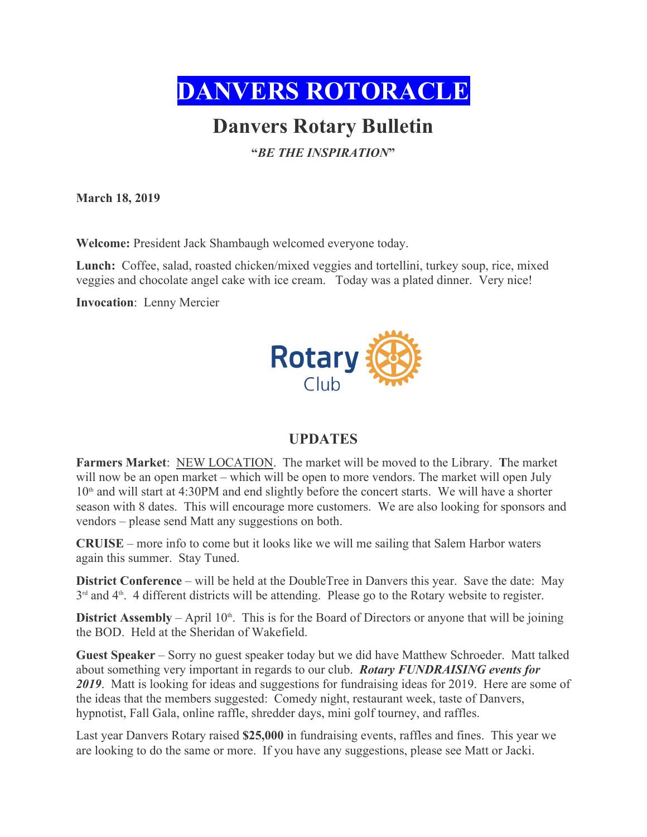

# **Danvers Rotary Bulletin**

**"***BE THE INSPIRATION***"**

**March 18, 2019**

**Welcome:** President Jack Shambaugh welcomed everyone today.

**Lunch:** Coffee, salad, roasted chicken/mixed veggies and tortellini, turkey soup, rice, mixed veggies and chocolate angel cake with ice cream. Today was a plated dinner. Very nice!

**Invocation**: Lenny Mercier



### **UPDATES**

**Farmers Market**: NEW LOCATION. The market will be moved to the Library. **T**he market will now be an open market – which will be open to more vendors. The market will open July  $10<sup>th</sup>$  and will start at 4:30PM and end slightly before the concert starts. We will have a shorter season with 8 dates. This will encourage more customers. We are also looking for sponsors and vendors – please send Matt any suggestions on both.

**CRUISE** – more info to come but it looks like we will me sailing that Salem Harbor waters again this summer. Stay Tuned.

**District Conference** – will be held at the DoubleTree in Danvers this year. Save the date: May  $3<sup>rd</sup>$  and  $4<sup>th</sup>$ . 4 different districts will be attending. Please go to the Rotary website to register.

**District Assembly** – April  $10<sup>th</sup>$ . This is for the Board of Directors or anyone that will be joining the BOD. Held at the Sheridan of Wakefield.

**Guest Speaker** – Sorry no guest speaker today but we did have Matthew Schroeder. Matt talked about something very important in regards to our club. *Rotary FUNDRAISING events for 2019*. Matt is looking for ideas and suggestions for fundraising ideas for 2019. Here are some of the ideas that the members suggested: Comedy night, restaurant week, taste of Danvers, hypnotist, Fall Gala, online raffle, shredder days, mini golf tourney, and raffles.

Last year Danvers Rotary raised **\$25,000** in fundraising events, raffles and fines. This year we are looking to do the same or more. If you have any suggestions, please see Matt or Jacki.